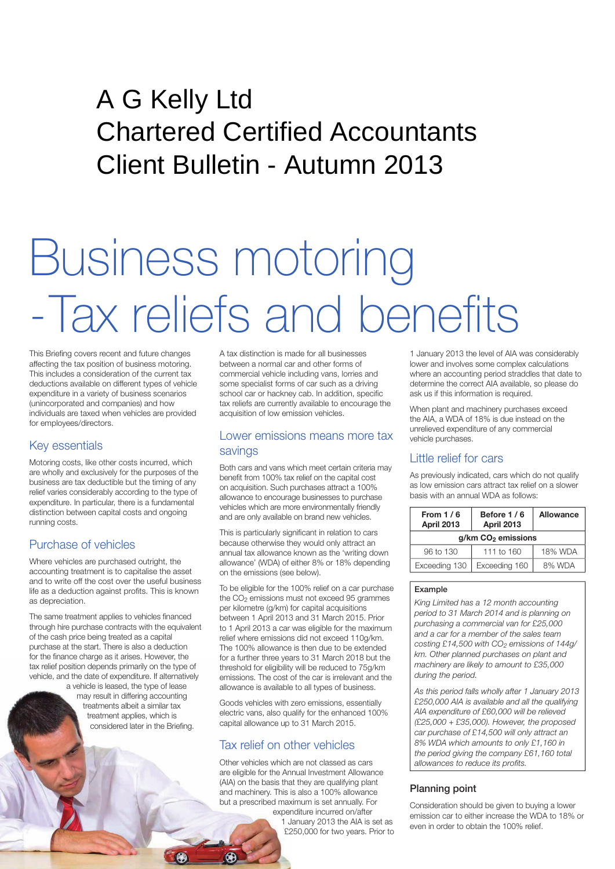# A G Kelly Ltd Chartered Certified Accountants Client Bulletin - Autumn 2013

# Business motoring -Tax reliefs and benefits

This Briefing covers recent and future changes affecting the tax position of business motoring. This includes a consideration of the current tax deductions available on different types of vehicle expenditure in a variety of business scenarios (unincorporated and companies) and how individuals are taxed when vehicles are provided for employees/directors.

# Key essentials

Motoring costs, like other costs incurred, which are wholly and exclusively for the purposes of the business are tax deductible but the timing of any relief varies considerably according to the type of expenditure. In particular, there is a fundamental distinction between capital costs and ongoing running costs.

# Purchase of vehicles

Where vehicles are purchased outright, the accounting treatment is to capitalise the asset and to write off the cost over the useful business life as a deduction against profits. This is known as depreciation.

The same treatment applies to vehicles financed through hire purchase contracts with the equivalent of the cash price being treated as a capital purchase at the start. There is also a deduction for the finance charge as it arises. However, the tax relief position depends primarily on the type of vehicle, and the date of expenditure. If alternatively

a vehicle is leased, the type of lease may result in differing accounting treatments albeit a similar tax treatment applies, which is considered later in the Briefing. A tax distinction is made for all businesses between a normal car and other forms of commercial vehicle including vans, lorries and some specialist forms of car such as a driving school car or hackney cab. In addition, specific tax reliefs are currently available to encourage the acquisition of low emission vehicles.

# Lower emissions means more tax savings

Both cars and vans which meet certain criteria may benefit from 100% tax relief on the capital cost on acquisition. Such purchases attract a 100% allowance to encourage businesses to purchase vehicles which are more environmentally friendly and are only available on brand new vehicles.

This is particularly significant in relation to cars because otherwise they would only attract an annual tax allowance known as the 'writing down allowance' (WDA) of either 8% or 18% depending on the emissions (see below).

To be eligible for the 100% relief on a car purchase the CO<sub>2</sub> emissions must not exceed 95 grammes per kilometre (g/km) for capital acquisitions between 1 April 2013 and 31 March 2015. Prior to 1 April 2013 a car was eligible for the maximum relief where emissions did not exceed 110g/km. The 100% allowance is then due to be extended for a further three years to 31 March 2018 but the threshold for eligibility will be reduced to 75g/km emissions. The cost of the car is irrelevant and the allowance is available to all types of business.

Goods vehicles with zero emissions, essentially electric vans, also qualify for the enhanced 100% capital allowance up to 31 March 2015.

# Tax relief on other vehicles

Other vehicles which are not classed as cars are eligible for the Annual Investment Allowance (AIA) on the basis that they are qualifying plant and machinery. This is also a 100% allowance but a prescribed maximum is set annually. For expenditure incurred on/after

1 January 2013 the AIA is set as £250,000 for two years. Prior to 1 January 2013 the level of AIA was considerably lower and involves some complex calculations where an accounting period straddles that date to determine the correct AIA available, so please do ask us if this information is required.

When plant and machinery purchases exceed the AIA, a WDA of 18% is due instead on the unrelieved expenditure of any commercial vehicle purchases.

# Little relief for cars

As previously indicated, cars which do not qualify as low emission cars attract tax relief on a slower basis with an annual WDA as follows:

| From $1/6$<br>April 2013         | Before 1/6<br><b>April 2013</b> | Allowance |
|----------------------------------|---------------------------------|-----------|
| $g/km$ CO <sub>2</sub> emissions |                                 |           |
| 96 to 130                        | 111 to 160                      | 18% WDA   |
| Exceeding 130                    | Exceeding 160                   | 8% WDA    |

#### Example

*King Limited has a 12 month accounting period to 31 March 2014 and is planning on purchasing a commercial van for £25,000 and a car for a member of the sales team costing £14,500 with CO2 emissions of 144g/ km. Other planned purchases on plant and machinery are likely to amount to £35,000 during the period.*

*As this period falls wholly after 1 January 2013 £250,000 AIA is available and all the qualifying AIA expenditure of £60,000 will be relieved (£25,000 + £35,000). However, the proposed car purchase of £14,500 will only attract an 8% WDA which amounts to only £1,160 in the period giving the company £61,160 total allowances to reduce its profits.*

# Planning point

Consideration should be given to buying a lower emission car to either increase the WDA to 18% or even in order to obtain the 100% relief.